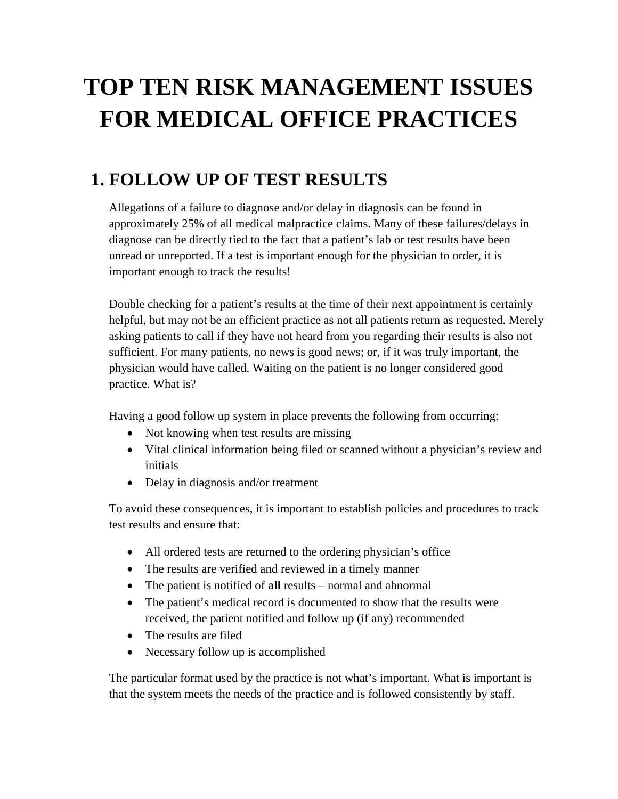# **TOP TEN RISK MANAGEMENT ISSUES FOR MEDICAL OFFICE PRACTICES**

## **1. FOLLOW UP OF TEST RESULTS**

Allegations of a failure to diagnose and/or delay in diagnosis can be found in approximately 25% of all medical malpractice claims. Many of these failures/delays in diagnose can be directly tied to the fact that a patient's lab or test results have been unread or unreported. If a test is important enough for the physician to order, it is important enough to track the results!

Double checking for a patient's results at the time of their next appointment is certainly helpful, but may not be an efficient practice as not all patients return as requested. Merely asking patients to call if they have not heard from you regarding their results is also not sufficient. For many patients, no news is good news; or, if it was truly important, the physician would have called. Waiting on the patient is no longer considered good practice. What is?

Having a good follow up system in place prevents the following from occurring:

- Not knowing when test results are missing
- Vital clinical information being filed or scanned without a physician's review and initials
- Delay in diagnosis and/or treatment

To avoid these consequences, it is important to establish policies and procedures to track test results and ensure that:

- All ordered tests are returned to the ordering physician's office
- The results are verified and reviewed in a timely manner
- The patient is notified of **all** results normal and abnormal
- The patient's medical record is documented to show that the results were received, the patient notified and follow up (if any) recommended
- The results are filed
- Necessary follow up is accomplished

The particular format used by the practice is not what's important. What is important is that the system meets the needs of the practice and is followed consistently by staff.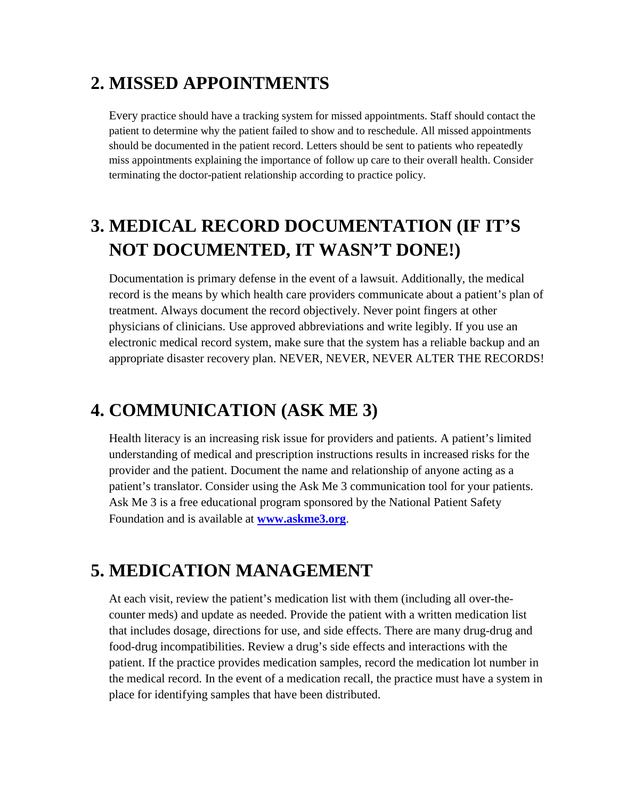#### **2. MISSED APPOINTMENTS**

Every practice should have a tracking system for missed appointments. Staff should contact the patient to determine why the patient failed to show and to reschedule. All missed appointments should be documented in the patient record. Letters should be sent to patients who repeatedly miss appointments explaining the importance of follow up care to their overall health. Consider terminating the doctor-patient relationship according to practice policy.

# **3. MEDICAL RECORD DOCUMENTATION (IF IT'S NOT DOCUMENTED, IT WASN'T DONE!)**

Documentation is primary defense in the event of a lawsuit. Additionally, the medical record is the means by which health care providers communicate about a patient's plan of treatment. Always document the record objectively. Never point fingers at other physicians of clinicians. Use approved abbreviations and write legibly. If you use an electronic medical record system, make sure that the system has a reliable backup and an appropriate disaster recovery plan. NEVER, NEVER, NEVER ALTER THE RECORDS!

#### **4. COMMUNICATION (ASK ME 3)**

Health literacy is an increasing risk issue for providers and patients. A patient's limited understanding of medical and prescription instructions results in increased risks for the provider and the patient. Document the name and relationship of anyone acting as a patient's translator. Consider using the Ask Me 3 communication tool for your patients. Ask Me 3 is a free educational program sponsored by the National Patient Safety Foundation and is available at **[www.askme3.org](http://www.askme3.org/)**.

#### **5. MEDICATION MANAGEMENT**

At each visit, review the patient's medication list with them (including all over-thecounter meds) and update as needed. Provide the patient with a written medication list that includes dosage, directions for use, and side effects. There are many drug-drug and food-drug incompatibilities. Review a drug's side effects and interactions with the patient. If the practice provides medication samples, record the medication lot number in the medical record. In the event of a medication recall, the practice must have a system in place for identifying samples that have been distributed.